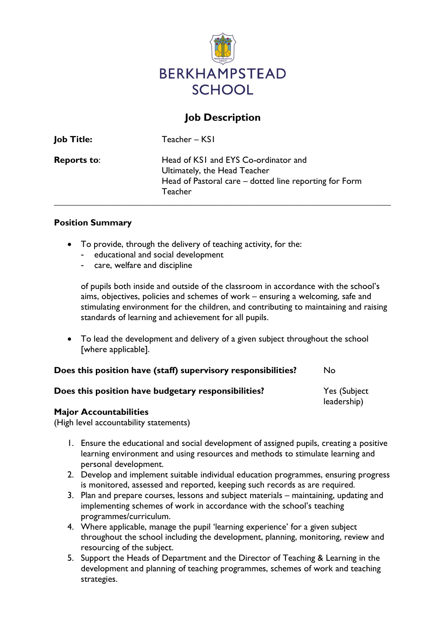

# Job Description

| <b>Job Title:</b>  | Teacher – KSI                                                                                                                                    |
|--------------------|--------------------------------------------------------------------------------------------------------------------------------------------------|
| <b>Reports to:</b> | Head of KSI and EYS Co-ordinator and<br>Ultimately, the Head Teacher<br>Head of Pastoral care - dotted line reporting for Form<br><b>Teacher</b> |

#### Position Summary

- To provide, through the delivery of teaching activity, for the:
	- educational and social development
	- care, welfare and discipline

of pupils both inside and outside of the classroom in accordance with the school's aims, objectives, policies and schemes of work – ensuring a welcoming, safe and stimulating environment for the children, and contributing to maintaining and raising standards of learning and achievement for all pupils.

 To lead the development and delivery of a given subject throughout the school [where applicable].

| Does this position have (staff) supervisory responsibilities? |  |  | No. |
|---------------------------------------------------------------|--|--|-----|
|---------------------------------------------------------------|--|--|-----|

| Does this position have budgetary responsibilities? | Yes (Subject |  |
|-----------------------------------------------------|--------------|--|
|                                                     | leadership)  |  |

#### Major Accountabilities

(High level accountability statements)

- 1. Ensure the educational and social development of assigned pupils, creating a positive learning environment and using resources and methods to stimulate learning and personal development.
- 2. Develop and implement suitable individual education programmes, ensuring progress is monitored, assessed and reported, keeping such records as are required.
- 3. Plan and prepare courses, lessons and subject materials maintaining, updating and implementing schemes of work in accordance with the school's teaching programmes/curriculum.
- 4. Where applicable, manage the pupil 'learning experience' for a given subject throughout the school including the development, planning, monitoring, review and resourcing of the subject.
- 5. Support the Heads of Department and the Director of Teaching & Learning in the development and planning of teaching programmes, schemes of work and teaching strategies.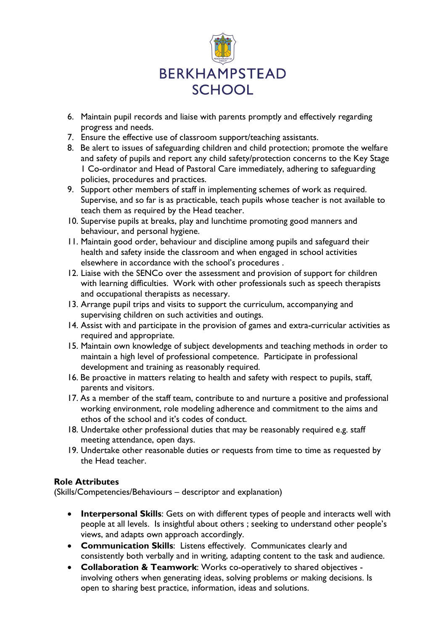

- 6. Maintain pupil records and liaise with parents promptly and effectively regarding progress and needs.
- 7. Ensure the effective use of classroom support/teaching assistants.
- 8. Be alert to issues of safeguarding children and child protection; promote the welfare and safety of pupils and report any child safety/protection concerns to the Key Stage 1 Co-ordinator and Head of Pastoral Care immediately, adhering to safeguarding policies, procedures and practices.
- 9. Support other members of staff in implementing schemes of work as required. Supervise, and so far is as practicable, teach pupils whose teacher is not available to teach them as required by the Head teacher.
- 10. Supervise pupils at breaks, play and lunchtime promoting good manners and behaviour, and personal hygiene.
- 11. Maintain good order, behaviour and discipline among pupils and safeguard their health and safety inside the classroom and when engaged in school activities elsewhere in accordance with the school's procedures .
- 12. Liaise with the SENCo over the assessment and provision of support for children with learning difficulties. Work with other professionals such as speech therapists and occupational therapists as necessary.
- 13. Arrange pupil trips and visits to support the curriculum, accompanying and supervising children on such activities and outings.
- 14. Assist with and participate in the provision of games and extra-curricular activities as required and appropriate.
- 15. Maintain own knowledge of subject developments and teaching methods in order to maintain a high level of professional competence. Participate in professional development and training as reasonably required.
- 16. Be proactive in matters relating to health and safety with respect to pupils, staff, parents and visitors.
- 17. As a member of the staff team, contribute to and nurture a positive and professional working environment, role modeling adherence and commitment to the aims and ethos of the school and it's codes of conduct.
- 18. Undertake other professional duties that may be reasonably required e.g. staff meeting attendance, open days.
- 19. Undertake other reasonable duties or requests from time to time as requested by the Head teacher.

## Role Attributes

(Skills/Competencies/Behaviours – descriptor and explanation)

- Interpersonal Skills: Gets on with different types of people and interacts well with people at all levels. Is insightful about others ; seeking to understand other people's views, and adapts own approach accordingly.
- Communication Skills: Listens effectively. Communicates clearly and consistently both verbally and in writing, adapting content to the task and audience.
- Collaboration & Teamwork: Works co-operatively to shared objectives involving others when generating ideas, solving problems or making decisions. Is open to sharing best practice, information, ideas and solutions.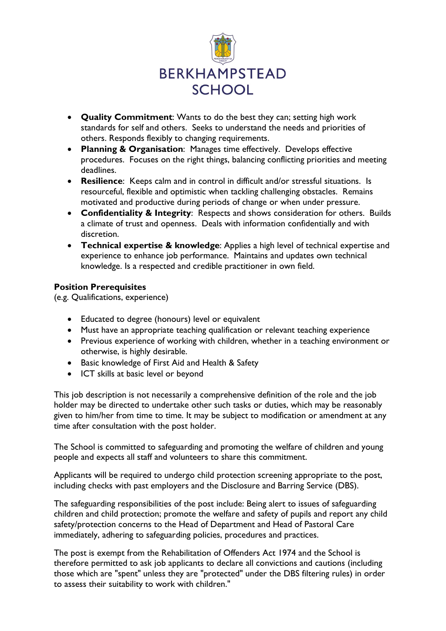

- Quality Commitment: Wants to do the best they can; setting high work standards for self and others. Seeks to understand the needs and priorities of others. Responds flexibly to changing requirements.
- Planning & Organisation: Manages time effectively. Develops effective procedures. Focuses on the right things, balancing conflicting priorities and meeting deadlines.
- Resilience: Keeps calm and in control in difficult and/or stressful situations. Is resourceful, flexible and optimistic when tackling challenging obstacles. Remains motivated and productive during periods of change or when under pressure.
- Confidentiality & Integrity: Respects and shows consideration for others. Builds a climate of trust and openness. Deals with information confidentially and with discretion.
- Technical expertise & knowledge: Applies a high level of technical expertise and experience to enhance job performance. Maintains and updates own technical knowledge. Is a respected and credible practitioner in own field.

### Position Prerequisites

(e.g. Qualifications, experience)

- Educated to degree (honours) level or equivalent
- Must have an appropriate teaching qualification or relevant teaching experience
- Previous experience of working with children, whether in a teaching environment or otherwise, is highly desirable.
- Basic knowledge of First Aid and Health & Safety
- ICT skills at basic level or beyond

This job description is not necessarily a comprehensive definition of the role and the job holder may be directed to undertake other such tasks or duties, which may be reasonably given to him/her from time to time. It may be subject to modification or amendment at any time after consultation with the post holder.

The School is committed to safeguarding and promoting the welfare of children and young people and expects all staff and volunteers to share this commitment.

Applicants will be required to undergo child protection screening appropriate to the post, including checks with past employers and the Disclosure and Barring Service (DBS).

The safeguarding responsibilities of the post include: Being alert to issues of safeguarding children and child protection; promote the welfare and safety of pupils and report any child safety/protection concerns to the Head of Department and Head of Pastoral Care immediately, adhering to safeguarding policies, procedures and practices.

The post is exempt from the Rehabilitation of Offenders Act 1974 and the School is therefore permitted to ask job applicants to declare all convictions and cautions (including those which are "spent" unless they are "protected" under the DBS filtering rules) in order to assess their suitability to work with children."